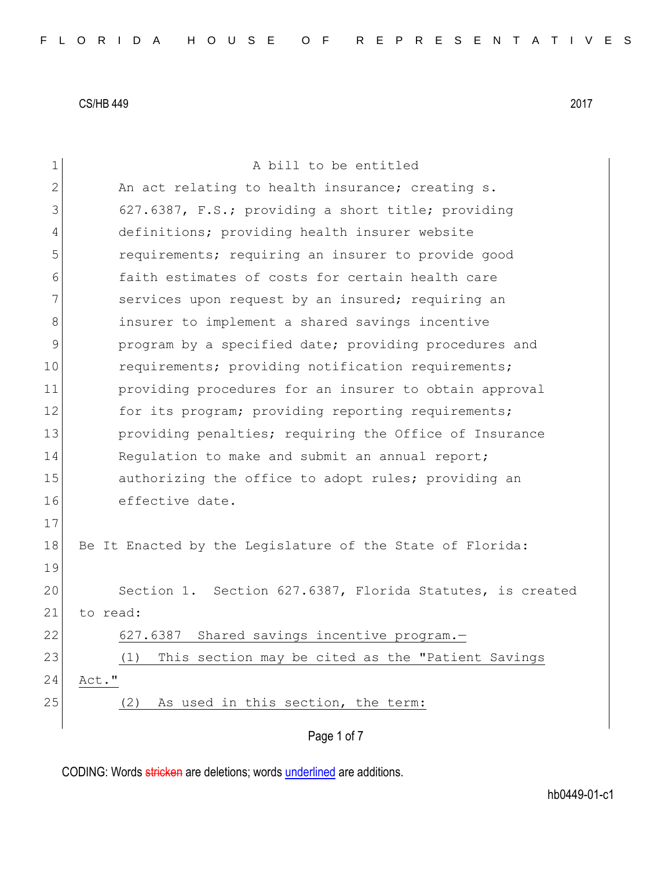| $\mathbf 1$  | A bill to be entitled                                     |
|--------------|-----------------------------------------------------------|
| $\mathbf{2}$ | An act relating to health insurance; creating s.          |
| 3            | 627.6387, F.S.; providing a short title; providing        |
| 4            | definitions; providing health insurer website             |
| 5            | requirements; requiring an insurer to provide good        |
| 6            | faith estimates of costs for certain health care          |
| 7            | services upon request by an insured; requiring an         |
| 8            | insurer to implement a shared savings incentive           |
| 9            | program by a specified date; providing procedures and     |
| 10           | requirements; providing notification requirements;        |
| 11           | providing procedures for an insurer to obtain approval    |
| 12           | for its program; providing reporting requirements;        |
| 13           | providing penalties; requiring the Office of Insurance    |
| 14           | Regulation to make and submit an annual report;           |
| 15           | authorizing the office to adopt rules; providing an       |
| 16           | effective date.                                           |
| 17           |                                                           |
| 18           | Be It Enacted by the Legislature of the State of Florida: |
| 19           |                                                           |
| 20           | Section 1. Section 627.6387, Florida Statutes, is created |
| 21           | to read:                                                  |
| 22           | 627.6387 Shared savings incentive program.-               |
| 23           | This section may be cited as the "Patient Savings<br>(1)  |
| 24           | Act."                                                     |
| 25           | As used in this section, the term:<br>(2)                 |
|              |                                                           |
|              | Page 1 of 7                                               |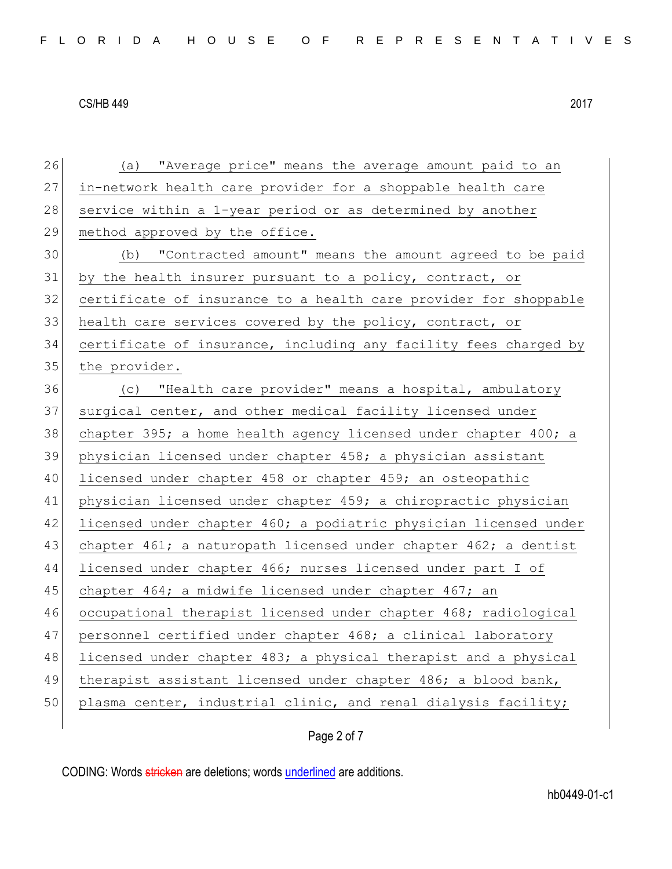26 (a) "Average price" means the average amount paid to an 27 in-network health care provider for a shoppable health care 28 service within a 1-year period or as determined by another 29 method approved by the office. 30 (b) "Contracted amount" means the amount agreed to be paid 31 by the health insurer pursuant to a policy, contract, or 32 certificate of insurance to a health care provider for shoppable 33 health care services covered by the policy, contract, or 34 certificate of insurance, including any facility fees charged by 35 the provider. 36 (c) "Health care provider" means a hospital, ambulatory 37 surgical center, and other medical facility licensed under 38 chapter 395; a home health agency licensed under chapter 400; a 39 physician licensed under chapter 458; a physician assistant 40 licensed under chapter 458 or chapter 459; an osteopathic 41 physician licensed under chapter 459; a chiropractic physician 42 licensed under chapter 460; a podiatric physician licensed under 43 chapter 461; a naturopath licensed under chapter 462; a dentist 44 licensed under chapter 466; nurses licensed under part I of 45 chapter 464; a midwife licensed under chapter 467; an 46 occupational therapist licensed under chapter 468; radiological 47 personnel certified under chapter 468; a clinical laboratory 48 licensed under chapter 483; a physical therapist and a physical 49 therapist assistant licensed under chapter 486; a blood bank, 50 plasma center, industrial clinic, and renal dialysis facility;

### Page 2 of 7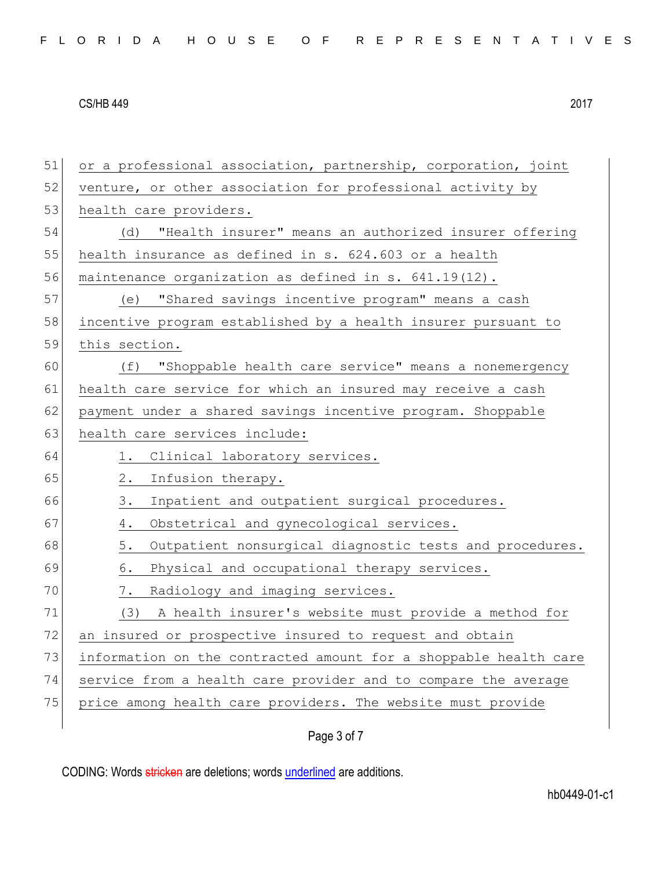| 51 | or a professional association, partnership, corporation, joint   |
|----|------------------------------------------------------------------|
| 52 | venture, or other association for professional activity by       |
| 53 | health care providers.                                           |
| 54 | "Health insurer" means an authorized insurer offering<br>(d)     |
| 55 | health insurance as defined in s. 624.603 or a health            |
| 56 | maintenance organization as defined in s. 641.19(12).            |
| 57 | "Shared savings incentive program" means a cash<br>(e)           |
| 58 | incentive program established by a health insurer pursuant to    |
| 59 | this section.                                                    |
| 60 | (f) "Shoppable health care service" means a nonemergency         |
| 61 | health care service for which an insured may receive a cash      |
| 62 | payment under a shared savings incentive program. Shoppable      |
| 63 | health care services include:                                    |
| 64 | Clinical laboratory services.<br>1.                              |
| 65 | Infusion therapy.<br>2.                                          |
| 66 | 3.<br>Inpatient and outpatient surgical procedures.              |
| 67 | Obstetrical and gynecological services.<br>4.                    |
|    |                                                                  |
| 68 | Outpatient nonsurgical diagnostic tests and procedures.<br>$5$ . |
| 69 | 6.<br>Physical and occupational therapy services.                |
| 70 | Radiology and imaging services.<br>7.                            |
| 71 | A health insurer's website must provide a method for<br>(3)      |
| 72 | an insured or prospective insured to request and obtain          |
| 73 | information on the contracted amount for a shoppable health care |
| 74 | service from a health care provider and to compare the average   |
| 75 | price among health care providers. The website must provide      |

Page 3 of 7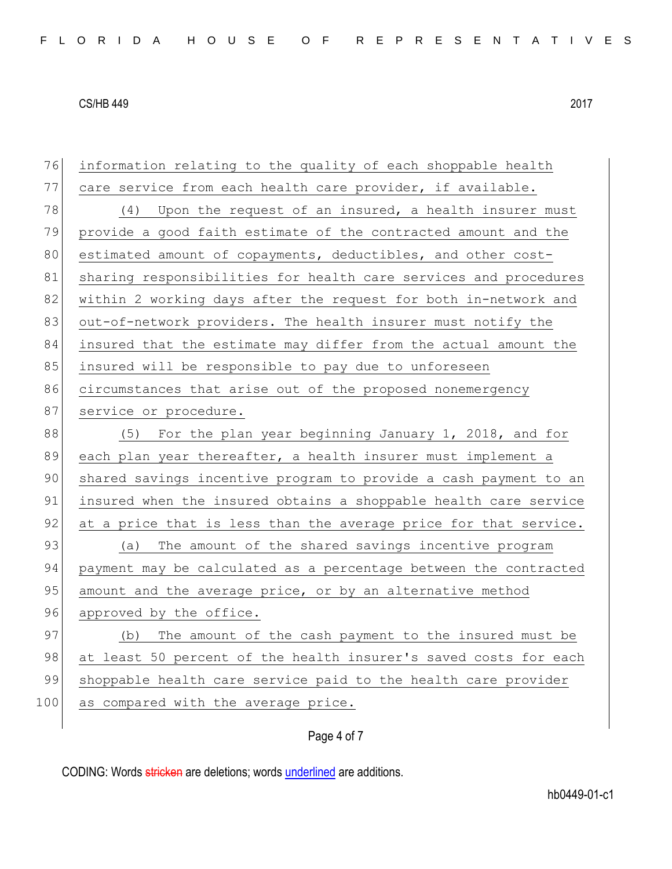| 76  | information relating to the quality of each shoppable health     |
|-----|------------------------------------------------------------------|
| 77  | care service from each health care provider, if available.       |
| 78  | (4) Upon the request of an insured, a health insurer must        |
| 79  | provide a good faith estimate of the contracted amount and the   |
| 80  | estimated amount of copayments, deductibles, and other cost-     |
| 81  | sharing responsibilities for health care services and procedures |
| 82  | within 2 working days after the request for both in-network and  |
| 83  | out-of-network providers. The health insurer must notify the     |
| 84  | insured that the estimate may differ from the actual amount the  |
| 85  | insured will be responsible to pay due to unforeseen             |
| 86  | circumstances that arise out of the proposed nonemergency        |
| 87  | service or procedure.                                            |
| 88  | (5) For the plan year beginning January 1, 2018, and for         |
| 89  | each plan year thereafter, a health insurer must implement a     |
| 90  | shared savings incentive program to provide a cash payment to an |
| 91  | insured when the insured obtains a shoppable health care service |
| 92  | at a price that is less than the average price for that service. |
| 93  | (a) The amount of the shared savings incentive program           |
| 94  | payment may be calculated as a percentage between the contracted |
| 95  | amount and the average price, or by an alternative method        |
| 96  | approved by the office.                                          |
| 97  | The amount of the cash payment to the insured must be<br>(b)     |
| 98  | at least 50 percent of the health insurer's saved costs for each |
| 99  | shoppable health care service paid to the health care provider   |
| 100 | as compared with the average price.                              |
|     |                                                                  |

# Page 4 of 7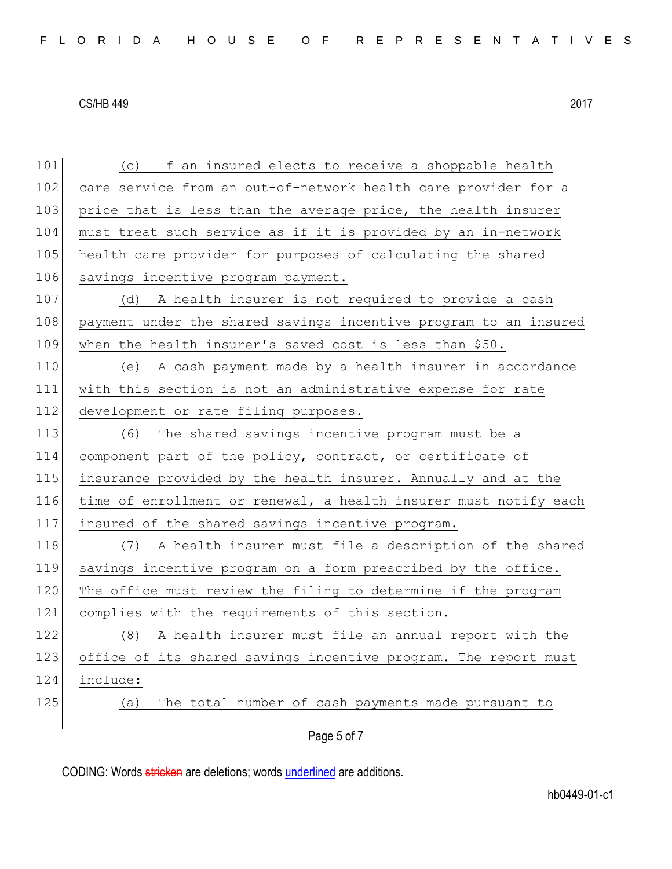| 101 | (c) If an insured elects to receive a shoppable health           |
|-----|------------------------------------------------------------------|
| 102 | care service from an out-of-network health care provider for a   |
| 103 | price that is less than the average price, the health insurer    |
| 104 | must treat such service as if it is provided by an in-network    |
| 105 | health care provider for purposes of calculating the shared      |
| 106 | savings incentive program payment.                               |
| 107 | (d) A health insurer is not required to provide a cash           |
| 108 | payment under the shared savings incentive program to an insured |
| 109 | when the health insurer's saved cost is less than \$50.          |
| 110 | (e) A cash payment made by a health insurer in accordance        |
| 111 | with this section is not an administrative expense for rate      |
| 112 | development or rate filing purposes.                             |
| 113 | The shared savings incentive program must be a<br>(6)            |
| 114 | component part of the policy, contract, or certificate of        |
| 115 | insurance provided by the health insurer. Annually and at the    |
| 116 | time of enrollment or renewal, a health insurer must notify each |
| 117 | insured of the shared savings incentive program.                 |
| 118 | A health insurer must file a description of the shared<br>(7)    |
| 119 | savings incentive program on a form prescribed by the office.    |
| 120 | The office must review the filing to determine if the program    |
| 121 | complies with the requirements of this section.                  |
| 122 | A health insurer must file an annual report with the<br>(8)      |
| 123 | office of its shared savings incentive program. The report must  |
| 124 | include:                                                         |
| 125 | The total number of cash payments made pursuant to<br>(a)        |
|     |                                                                  |
|     | Page 5 of 7                                                      |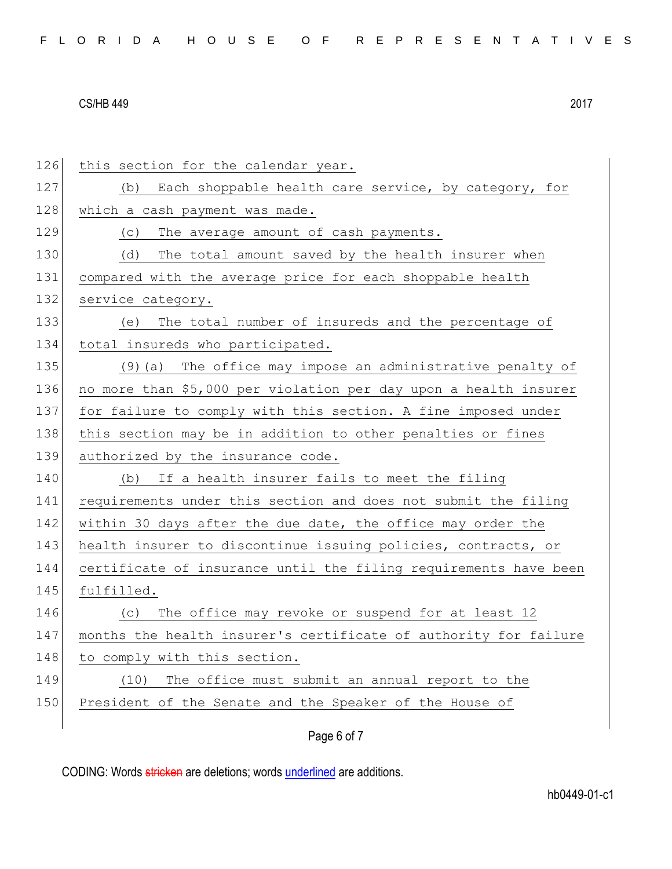| FLORIDA HOUSE OF REPRESENTATIVES |  |
|----------------------------------|--|
|----------------------------------|--|

| 126 | this section for the calendar year.                              |
|-----|------------------------------------------------------------------|
| 127 | (b) Each shoppable health care service, by category, for         |
| 128 | which a cash payment was made.                                   |
| 129 | The average amount of cash payments.<br>(C)                      |
| 130 | The total amount saved by the health insurer when<br>(d)         |
| 131 | compared with the average price for each shoppable health        |
| 132 | service category.                                                |
| 133 | The total number of insureds and the percentage of<br>(e)        |
| 134 | total insureds who participated.                                 |
| 135 | The office may impose an administrative penalty of<br>(9) (a)    |
| 136 | no more than \$5,000 per violation per day upon a health insurer |
| 137 | for failure to comply with this section. A fine imposed under    |
| 138 | this section may be in addition to other penalties or fines      |
|     |                                                                  |
| 139 | authorized by the insurance code.                                |
| 140 | If a health insurer fails to meet the filing<br>(b)              |
| 141 | requirements under this section and does not submit the filing   |
| 142 | within 30 days after the due date, the office may order the      |
| 143 | health insurer to discontinue issuing policies, contracts, or    |
| 144 | certificate of insurance until the filing requirements have been |
| 145 | fulfilled.                                                       |
| 146 | The office may revoke or suspend for at least 12<br>(C)          |
| 147 | months the health insurer's certificate of authority for failure |
| 148 | to comply with this section.                                     |
| 149 | The office must submit an annual report to the<br>(10)           |
| 150 | President of the Senate and the Speaker of the House of          |

Page 6 of 7